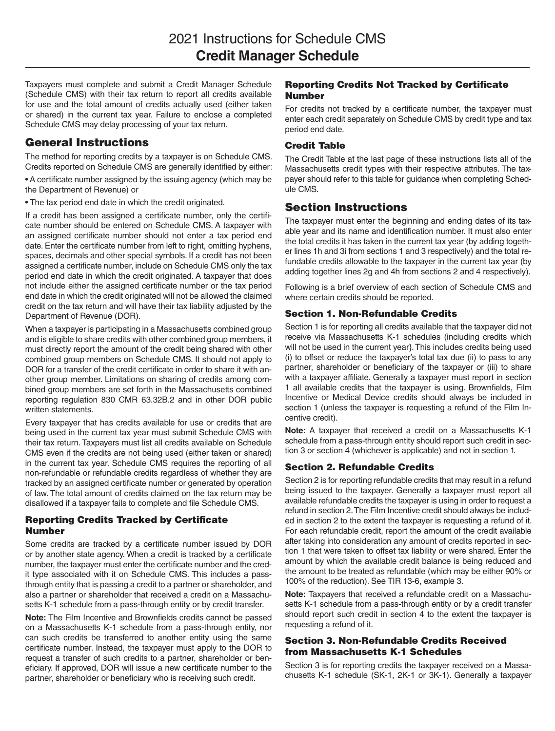Taxpayers must complete and submit a Credit Manager Schedule (Schedule CMS) with their tax return to report all credits available for use and the total amount of credits actually used (either taken or shared) in the current tax year. Failure to enclose a completed Schedule CMS may delay processing of your tax return.

## General Instructions

The method for reporting credits by a taxpayer is on Schedule CMS. Credits reported on Schedule CMS are generally identified by either:

• A certificate number assigned by the issuing agency (which may be the Department of Revenue) or

• The tax period end date in which the credit originated.

If a credit has been assigned a certificate number, only the certificate number should be entered on Schedule CMS. A taxpayer with an assigned certificate number should not enter a tax period end date. Enter the certificate number from left to right, omitting hyphens, spaces, decimals and other special symbols. If a credit has not been assigned a certificate number, include on Schedule CMS only the tax period end date in which the credit originated. A taxpayer that does not include either the assigned certificate number or the tax period end date in which the credit originated will not be allowed the claimed credit on the tax return and will have their tax liability adjusted by the Department of Revenue (DOR).

When a taxpayer is participating in a Massachusetts combined group and is eligible to share credits with other combined group members, it must directly report the amount of the credit being shared with other combined group members on Schedule CMS. It should not apply to DOR for a transfer of the credit certificate in order to share it with another group member. Limitations on sharing of credits among combined group members are set forth in the Massachusetts combined reporting regulation 830 CMR 63.32B.2 and in other DOR public written statements.

Every taxpayer that has credits available for use or credits that are being used in the current tax year must submit Schedule CMS with their tax return. Taxpayers must list all credits available on Schedule CMS even if the credits are not being used (either taken or shared) in the current tax year. Schedule CMS requires the reporting of all non-refundable or refundable credits regardless of whether they are tracked by an assigned certificate number or generated by operation of law. The total amount of credits claimed on the tax return may be disallowed if a taxpayer fails to complete and file Schedule CMS.

## Reporting Credits Tracked by Certificate Number

Some credits are tracked by a certificate number issued by DOR or by another state agency. When a credit is tracked by a certificate number, the taxpayer must enter the certificate number and the credit type associated with it on Schedule CMS. This includes a passthrough entity that is passing a credit to a partner or shareholder, and also a partner or shareholder that received a credit on a Massachusetts K-1 schedule from a pass-through entity or by credit transfer.

**Note:** The Film Incentive and Brownfields credits cannot be passed on a Massachusetts K-1 schedule from a pass-through entity, nor can such credits be transferred to another entity using the same certificate number. Instead, the taxpayer must apply to the DOR to request a transfer of such credits to a partner, shareholder or beneficiary. If approved, DOR will issue a new certificate number to the partner, shareholder or beneficiary who is receiving such credit.

### Reporting Credits Not Tracked by Certificate Number

For credits not tracked by a certificate number, the taxpayer must enter each credit separately on Schedule CMS by credit type and tax period end date.

### Credit Table

The Credit Table at the last page of these instructions lists all of the Massachusetts credit types with their respective attributes. The taxpayer should refer to this table for guidance when completing Schedule CMS.

# Section Instructions

The taxpayer must enter the beginning and ending dates of its taxable year and its name and identification number. It must also enter the total credits it has taken in the current tax year (by adding together lines 1h and 3i from sections 1 and 3 respectively) and the total refundable credits allowable to the taxpayer in the current tax year (by adding together lines 2g and 4h from sections 2 and 4 respectively).

Following is a brief overview of each section of Schedule CMS and where certain credits should be reported.

## Section 1. Non-Refundable Credits

Section 1 is for reporting all credits available that the taxpayer did not receive via Massachusetts K-1 schedules (including credits which will not be used in the current year}. This includes credits being used (i) to offset or reduce the taxpayer's total tax due (ii) to pass to any partner, shareholder or beneficiary of the taxpayer or (iii) to share with a taxpayer affiliate. Generally a taxpayer must report in section 1 all available credits that the taxpayer is using. Brownfields, Film Incentive or Medical Device credits should always be included in section 1 (unless the taxpayer is requesting a refund of the Film Incentive credit).

**Note:** A taxpayer that received a credit on a Massachusetts K-1 schedule from a pass-through entity should report such credit in section 3 or section 4 (whichever is applicable) and not in section 1.

## Section 2. Refundable Credits

Section 2 is for reporting refundable credits that may result in a refund being issued to the taxpayer. Generally a taxpayer must report all available refundable credits the taxpayer is using in order to request a refund in section 2. The Film Incentive credit should always be included in section 2 to the extent the taxpayer is requesting a refund of it. For each refundable credit, report the amount of the credit available after taking into consideration any amount of credits reported in section 1 that were taken to offset tax liability or were shared. Enter the amount by which the available credit balance is being reduced and the amount to be treated as refundable (which may be either 90% or 100% of the reduction). See TIR 13-6, example 3.

**Note:** Taxpayers that received a refundable credit on a Massachusetts K-1 schedule from a pass-through entity or by a credit transfer should report such credit in section 4 to the extent the taxpayer is requesting a refund of it.

#### Section 3. Non-Refundable Credits Received from Massachusetts K-1 Schedules

Section 3 is for reporting credits the taxpayer received on a Massachusetts K-1 schedule (SK-1, 2K-1 or 3K-1). Generally a taxpayer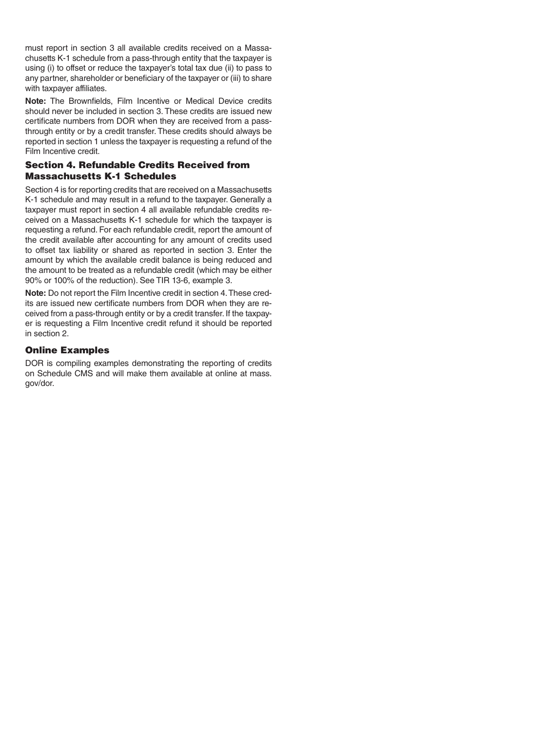must report in section 3 all available credits received on a Massachusetts K-1 schedule from a pass-through entity that the taxpayer is using (i) to offset or reduce the taxpayer's total tax due (ii) to pass to any partner, shareholder or beneficiary of the taxpayer or (iii) to share with taxpayer affiliates.

**Note:** The Brownfields, Film Incentive or Medical Device credits should never be included in section 3. These credits are issued new certificate numbers from DOR when they are received from a passthrough entity or by a credit transfer. These credits should always be reported in section 1 unless the taxpayer is requesting a refund of the Film Incentive credit.

### Section 4. Refundable Credits Received from Massachusetts K-1 Schedules

Section 4 is for reporting credits that are received on a Massachusetts K-1 schedule and may result in a refund to the taxpayer. Generally a taxpayer must report in section 4 all available refundable credits received on a Massachusetts K-1 schedule for which the taxpayer is requesting a refund. For each refundable credit, report the amount of the credit available after accounting for any amount of credits used to offset tax liability or shared as reported in section 3. Enter the amount by which the available credit balance is being reduced and the amount to be treated as a refundable credit (which may be either 90% or 100% of the reduction). See TIR 13-6, example 3.

**Note:** Do not report the Film Incentive credit in section 4. These credits are issued new certificate numbers from DOR when they are received from a pass-through entity or by a credit transfer. If the taxpayer is requesting a Film Incentive credit refund it should be reported in section 2.

#### Online Examples

DOR is compiling examples demonstrating the reporting of credits on Schedule CMS and will make them available at online at mass. gov/dor.